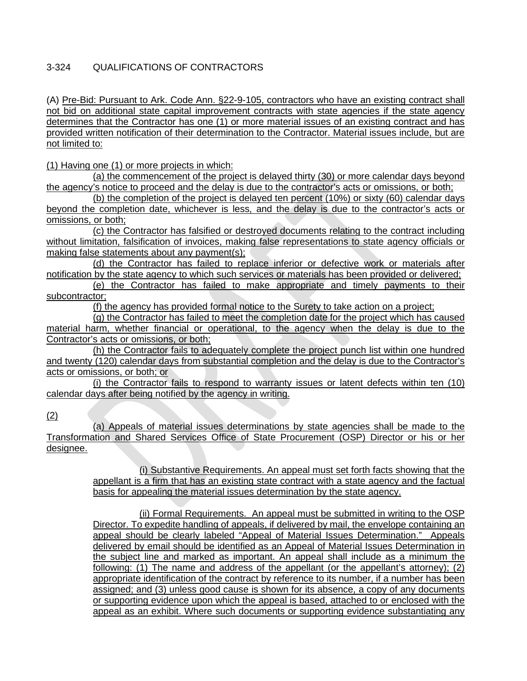## 3-324 QUALIFICATIONS OF CONTRACTORS

(A) Pre-Bid: Pursuant to Ark. Code Ann. §22-9-105, contractors who have an existing contract shall not bid on additional state capital improvement contracts with state agencies if the state agency determines that the Contractor has one (1) or more material issues of an existing contract and has provided written notification of their determination to the Contractor. Material issues include, but are not limited to:

(1) Having one (1) or more projects in which:

(a) the commencement of the project is delayed thirty (30) or more calendar days beyond the agency's notice to proceed and the delay is due to the contractor's acts or omissions, or both;

(b) the completion of the project is delayed ten percent (10%) or sixty (60) calendar days beyond the completion date, whichever is less, and the delay is due to the contractor's acts or omissions, or both;

(c) the Contractor has falsified or destroyed documents relating to the contract including without limitation, falsification of invoices, making false representations to state agency officials or making false statements about any payment(s);

(d) the Contractor has failed to replace inferior or defective work or materials after notification by the state agency to which such services or materials has been provided or delivered;

(e) the Contractor has failed to make appropriate and timely payments to their subcontractor;

(f) the agency has provided formal notice to the Surety to take action on a project;

(g) the Contractor has failed to meet the completion date for the project which has caused material harm, whether financial or operational, to the agency when the delay is due to the Contractor's acts or omissions, or both;

(h) the Contractor fails to adequately complete the project punch list within one hundred and twenty (120) calendar days from substantial completion and the delay is due to the Contractor's acts or omissions, or both; or

(i) the Contractor fails to respond to warranty issues or latent defects within ten (10) calendar days after being notified by the agency in writing.

(2)

(a) Appeals of material issues determinations by state agencies shall be made to the Transformation and Shared Services Office of State Procurement (OSP) Director or his or her designee.

> (i) Substantive Requirements. An appeal must set forth facts showing that the appellant is a firm that has an existing state contract with a state agency and the factual basis for appealing the material issues determination by the state agency.

> (ii) Formal Requirements. An appeal must be submitted in writing to the OSP Director. To expedite handling of appeals, if delivered by mail, the envelope containing an appeal should be clearly labeled "Appeal of Material Issues Determination." Appeals delivered by email should be identified as an Appeal of Material Issues Determination in the subject line and marked as important. An appeal shall include as a minimum the following: (1) The name and address of the appellant (or the appellant's attorney); (2) appropriate identification of the contract by reference to its number, if a number has been assigned; and (3) unless good cause is shown for its absence, a copy of any documents or supporting evidence upon which the appeal is based, attached to or enclosed with the appeal as an exhibit. Where such documents or supporting evidence substantiating any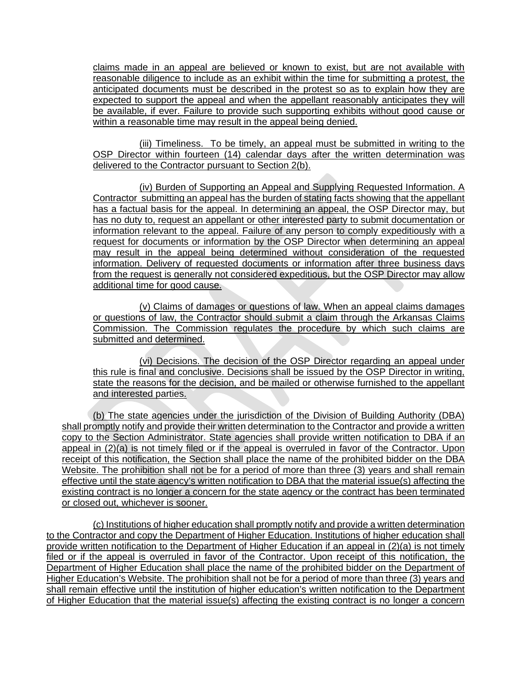claims made in an appeal are believed or known to exist, but are not available with reasonable diligence to include as an exhibit within the time for submitting a protest, the anticipated documents must be described in the protest so as to explain how they are expected to support the appeal and when the appellant reasonably anticipates they will be available, if ever. Failure to provide such supporting exhibits without good cause or within a reasonable time may result in the appeal being denied.

(iii) Timeliness. To be timely, an appeal must be submitted in writing to the OSP Director within fourteen (14) calendar days after the written determination was delivered to the Contractor pursuant to Section 2(b).

(iv) Burden of Supporting an Appeal and Supplying Requested Information. A Contractor submitting an appeal has the burden of stating facts showing that the appellant has a factual basis for the appeal. In determining an appeal, the OSP Director may, but has no duty to, request an appellant or other interested party to submit documentation or information relevant to the appeal. Failure of any person to comply expeditiously with a request for documents or information by the OSP Director when determining an appeal may result in the appeal being determined without consideration of the requested information. Delivery of requested documents or information after three business days from the request is generally not considered expeditious, but the OSP Director may allow additional time for good cause.

(v) Claims of damages or questions of law. When an appeal claims damages or questions of law, the Contractor should submit a claim through the Arkansas Claims Commission. The Commission regulates the procedure by which such claims are submitted and determined.

(vi) Decisions. The decision of the OSP Director regarding an appeal under this rule is final and conclusive. Decisions shall be issued by the OSP Director in writing, state the reasons for the decision, and be mailed or otherwise furnished to the appellant and interested parties.

(b) The state agencies under the jurisdiction of the Division of Building Authority (DBA) shall promptly notify and provide their written determination to the Contractor and provide a written copy to the Section Administrator. State agencies shall provide written notification to DBA if an appeal in (2)(a) is not timely filed or if the appeal is overruled in favor of the Contractor. Upon receipt of this notification, the Section shall place the name of the prohibited bidder on the DBA Website. The prohibition shall not be for a period of more than three (3) years and shall remain effective until the state agency's written notification to DBA that the material issue(s) affecting the existing contract is no longer a concern for the state agency or the contract has been terminated or closed out, whichever is sooner.

(c) Institutions of higher education shall promptly notify and provide a written determination to the Contractor and copy the Department of Higher Education. Institutions of higher education shall provide written notification to the Department of Higher Education if an appeal in (2)(a) is not timely filed or if the appeal is overruled in favor of the Contractor. Upon receipt of this notification, the Department of Higher Education shall place the name of the prohibited bidder on the Department of Higher Education's Website. The prohibition shall not be for a period of more than three (3) years and shall remain effective until the institution of higher education's written notification to the Department of Higher Education that the material issue(s) affecting the existing contract is no longer a concern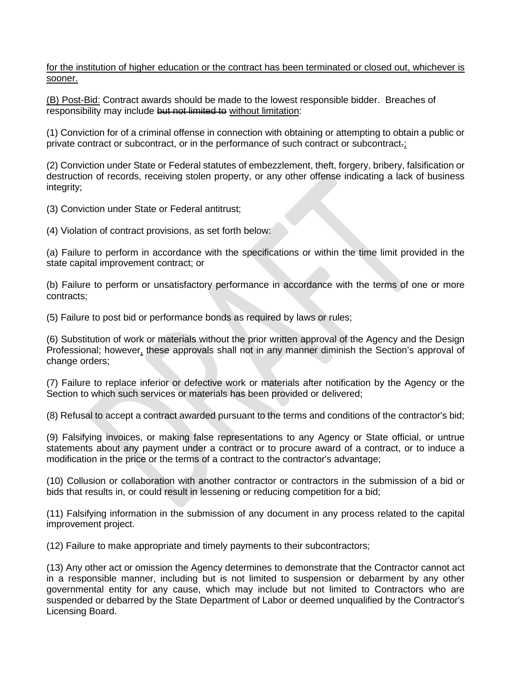for the institution of higher education or the contract has been terminated or closed out, whichever is sooner.

(B) Post-Bid: Contract awards should be made to the lowest responsible bidder. Breaches of responsibility may include but not limited to without limitation:

(1) Conviction for of a criminal offense in connection with obtaining or attempting to obtain a public or private contract or subcontract, or in the performance of such contract or subcontract.;

(2) Conviction under State or Federal statutes of embezzlement, theft, forgery, bribery, falsification or destruction of records, receiving stolen property, or any other offense indicating a lack of business integrity;

(3) Conviction under State or Federal antitrust;

(4) Violation of contract provisions, as set forth below:

(a) Failure to perform in accordance with the specifications or within the time limit provided in the state capital improvement contract; or

(b) Failure to perform or unsatisfactory performance in accordance with the terms of one or more contracts;

(5) Failure to post bid or performance bonds as required by laws or rules;

(6) Substitution of work or materials without the prior written approval of the Agency and the Design Professional; however, these approvals shall not in any manner diminish the Section's approval of change orders;

(7) Failure to replace inferior or defective work or materials after notification by the Agency or the Section to which such services or materials has been provided or delivered;

(8) Refusal to accept a contract awarded pursuant to the terms and conditions of the contractor's bid;

(9) Falsifying invoices, or making false representations to any Agency or State official, or untrue statements about any payment under a contract or to procure award of a contract, or to induce a modification in the price or the terms of a contract to the contractor's advantage;

(10) Collusion or collaboration with another contractor or contractors in the submission of a bid or bids that results in, or could result in lessening or reducing competition for a bid;

(11) Falsifying information in the submission of any document in any process related to the capital improvement project.

(12) Failure to make appropriate and timely payments to their subcontractors;

(13) Any other act or omission the Agency determines to demonstrate that the Contractor cannot act in a responsible manner, including but is not limited to suspension or debarment by any other governmental entity for any cause, which may include but not limited to Contractors who are suspended or debarred by the State Department of Labor or deemed unqualified by the Contractor's Licensing Board.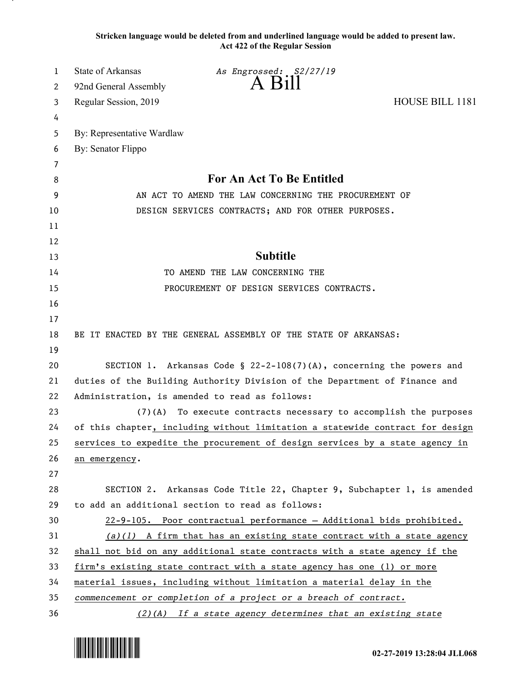**Stricken language would be deleted from and underlined language would be added to present law. Act 422 of the Regular Session**

| 1  | State of Arkansas                                                             | As Engrossed: S2/27/19                                                       |                        |
|----|-------------------------------------------------------------------------------|------------------------------------------------------------------------------|------------------------|
| 2  | 92nd General Assembly                                                         | $A$ $B1II$                                                                   |                        |
| 3  | Regular Session, 2019                                                         |                                                                              | <b>HOUSE BILL 1181</b> |
| 4  |                                                                               |                                                                              |                        |
| 5  | By: Representative Wardlaw                                                    |                                                                              |                        |
| 6  | By: Senator Flippo                                                            |                                                                              |                        |
| 7  |                                                                               |                                                                              |                        |
| 8  |                                                                               | For An Act To Be Entitled                                                    |                        |
| 9  | AN ACT TO AMEND THE LAW CONCERNING THE PROCUREMENT OF                         |                                                                              |                        |
| 10 | DESIGN SERVICES CONTRACTS; AND FOR OTHER PURPOSES.                            |                                                                              |                        |
| 11 |                                                                               |                                                                              |                        |
| 12 |                                                                               |                                                                              |                        |
| 13 |                                                                               | <b>Subtitle</b>                                                              |                        |
| 14 | TO AMEND THE LAW CONCERNING THE                                               |                                                                              |                        |
| 15 | PROCUREMENT OF DESIGN SERVICES CONTRACTS.                                     |                                                                              |                        |
| 16 |                                                                               |                                                                              |                        |
| 17 |                                                                               |                                                                              |                        |
| 18 |                                                                               | BE IT ENACTED BY THE GENERAL ASSEMBLY OF THE STATE OF ARKANSAS:              |                        |
| 19 |                                                                               |                                                                              |                        |
| 20 | SECTION 1. Arkansas Code § $22-2-108(7)(A)$ , concerning the powers and       |                                                                              |                        |
| 21 | duties of the Building Authority Division of the Department of Finance and    |                                                                              |                        |
| 22 | Administration, is amended to read as follows:                                |                                                                              |                        |
| 23 | $(7)$ (A)                                                                     | To execute contracts necessary to accomplish the purposes                    |                        |
| 24 | of this chapter, including without limitation a statewide contract for design |                                                                              |                        |
| 25 |                                                                               | services to expedite the procurement of design services by a state agency in |                        |
| 26 | an emergency.                                                                 |                                                                              |                        |
| 27 |                                                                               |                                                                              |                        |
| 28 |                                                                               | SECTION 2. Arkansas Code Title 22, Chapter 9, Subchapter 1, is amended       |                        |
| 29 |                                                                               | to add an additional section to read as follows:                             |                        |
| 30 |                                                                               | 22-9-105. Poor contractual performance - Additional bids prohibited.         |                        |
| 31 |                                                                               | $(a)(1)$ A firm that has an existing state contract with a state agency      |                        |
| 32 | shall not bid on any additional state contracts with a state agency if the    |                                                                              |                        |
| 33 | firm's existing state contract with a state agency has one (1) or more        |                                                                              |                        |
| 34 | material issues, including without limitation a material delay in the         |                                                                              |                        |
| 35 |                                                                               | commencement or completion of a project or a breach of contract.             |                        |
| 36 |                                                                               | (2)(A) If a state agency determines that an existing state                   |                        |